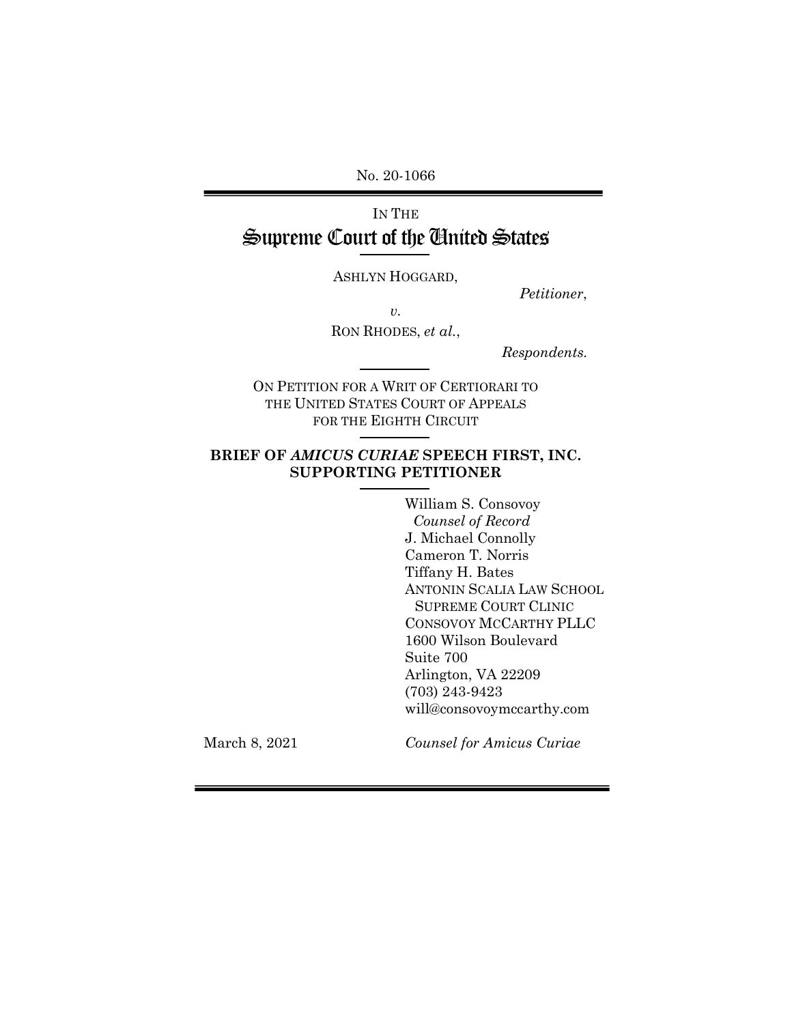No. 20-1066

# IN THE Supreme Court of the United States

ASHLYN HOGGARD,

*Petitioner*,

*v.* 

RON RHODES, *et al.*,

 *Respondents.*

ON PETITION FOR A WRIT OF CERTIORARI TO THE UNITED STATES COURT OF APPEALS FOR THE EIGHTH CIRCUIT

## **BRIEF OF** *AMICUS CURIAE* **SPEECH FIRST, INC. SUPPORTING PETITIONER**

William S. Consovoy *Counsel of Record* J. Michael Connolly Cameron T. Norris Tiffany H. Bates ANTONIN SCALIA LAW SCHOOL SUPREME COURT CLINIC CONSOVOY MCCARTHY PLLC 1600 Wilson Boulevard Suite 700 Arlington, VA 22209 (703) 243-9423 will@consovoymccarthy.com

March 8, 2021

*Counsel for Amicus Curiae*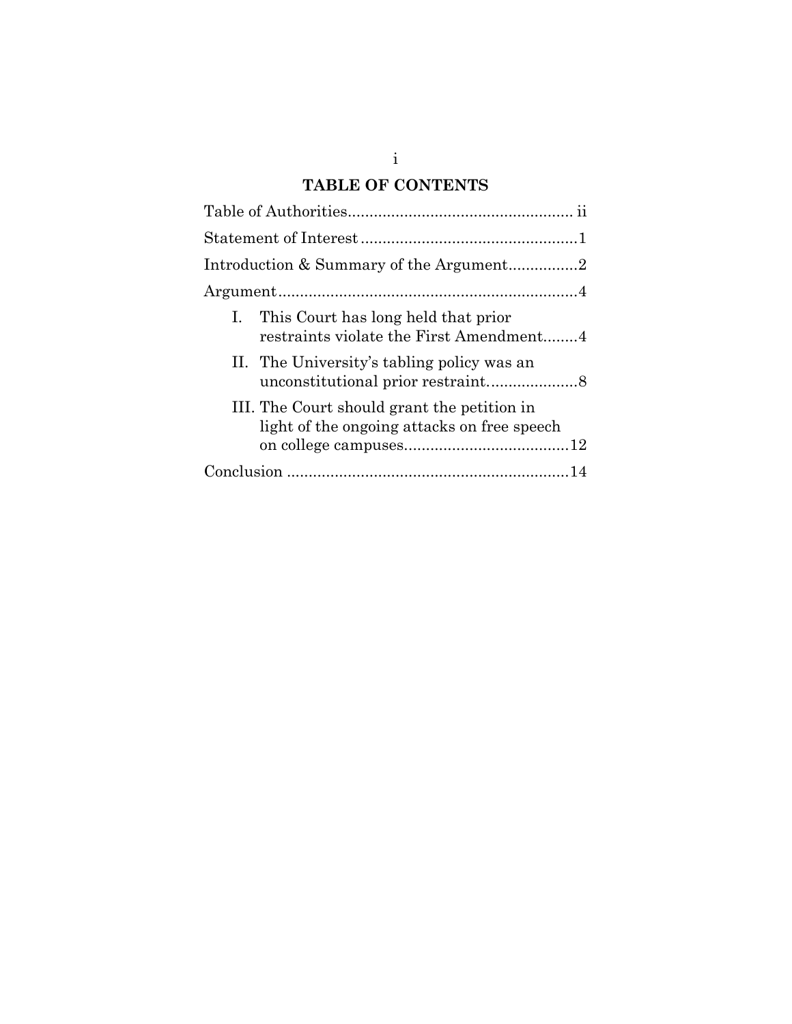# **TABLE OF CONTENTS**

| I. This Court has long held that prior<br>restraints violate the First Amendment4          |
|--------------------------------------------------------------------------------------------|
| II. The University's tabling policy was an                                                 |
| III. The Court should grant the petition in<br>light of the ongoing attacks on free speech |
|                                                                                            |

i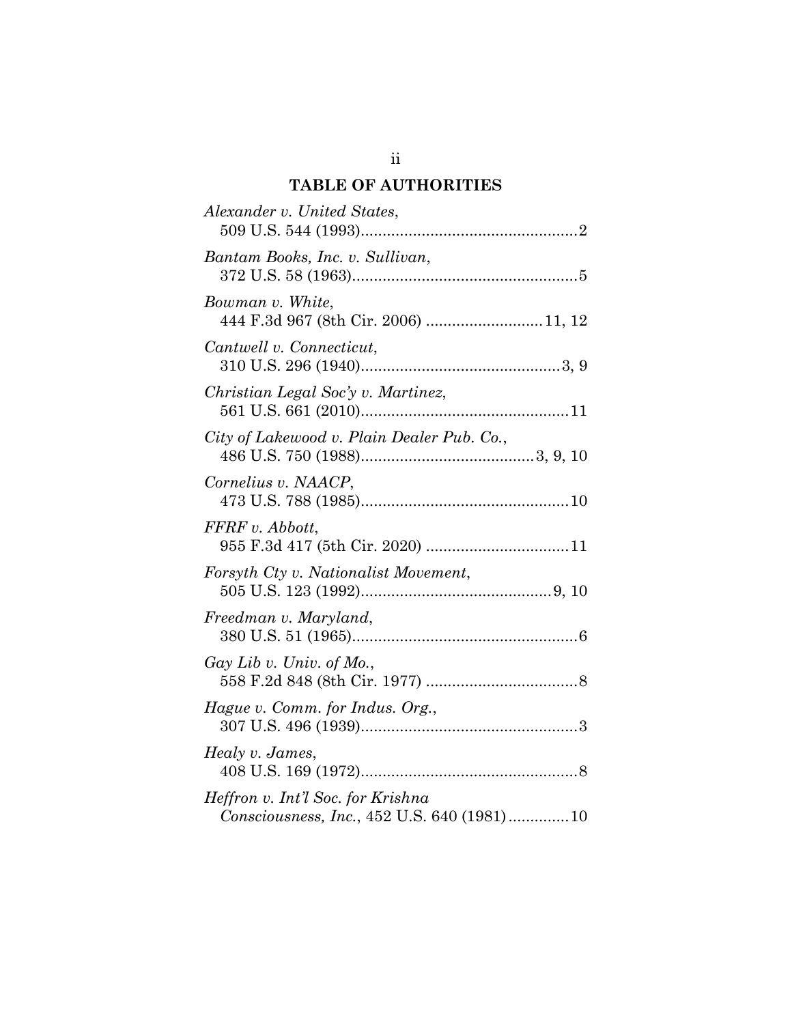## **TABLE OF AUTHORITIES**

<span id="page-2-0"></span>

| Alexander v. United States,                                                     |
|---------------------------------------------------------------------------------|
| Bantam Books, Inc. v. Sullivan,                                                 |
| Bowman v. White,<br>444 F.3d 967 (8th Cir. 2006) 11, 12                         |
| Cantwell v. Connecticut,                                                        |
| Christian Legal Soc'y v. Martinez,                                              |
| City of Lakewood v. Plain Dealer Pub. Co.,                                      |
| Cornelius v. NAACP,                                                             |
| FFRF v. Abbott,                                                                 |
| Forsyth Cty v. Nationalist Movement,                                            |
| Freedman v. Maryland,                                                           |
| $\lim_{u \to 0}$ Lib v. Univ. of Mo.,                                           |
| Hague v. Comm. for Indus. Org.,                                                 |
| Healy v. James,                                                                 |
| Heffron v. Int'l Soc. for Krishna<br>Consciousness, Inc., 452 U.S. 640 (1981)10 |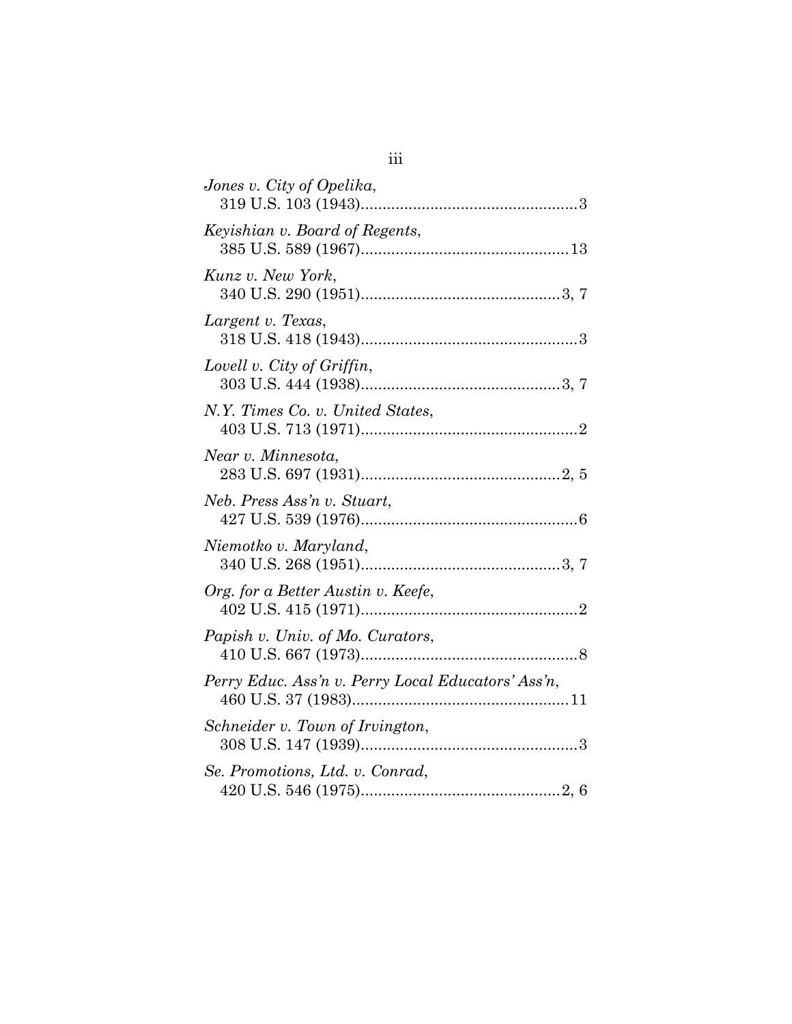| Jones v. City of Opelika,                          |
|----------------------------------------------------|
| Keyishian v. Board of Regents,                     |
| Kunz v. New York,                                  |
| Largent v. Texas,                                  |
| Lovell v. City of Griffin,                         |
| N.Y. Times Co. v. United States,                   |
| Near v. Minnesota,                                 |
| Neb. Press Ass'n v. Stuart,                        |
| Niemotko v. Maryland,                              |
| Org. for a Better Austin v. Keefe,                 |
|                                                    |
| Papish v. Univ. of Mo. Curators,                   |
| Perry Educ. Ass'n v. Perry Local Educators' Ass'n, |
| Schneider v. Town of Irvington,                    |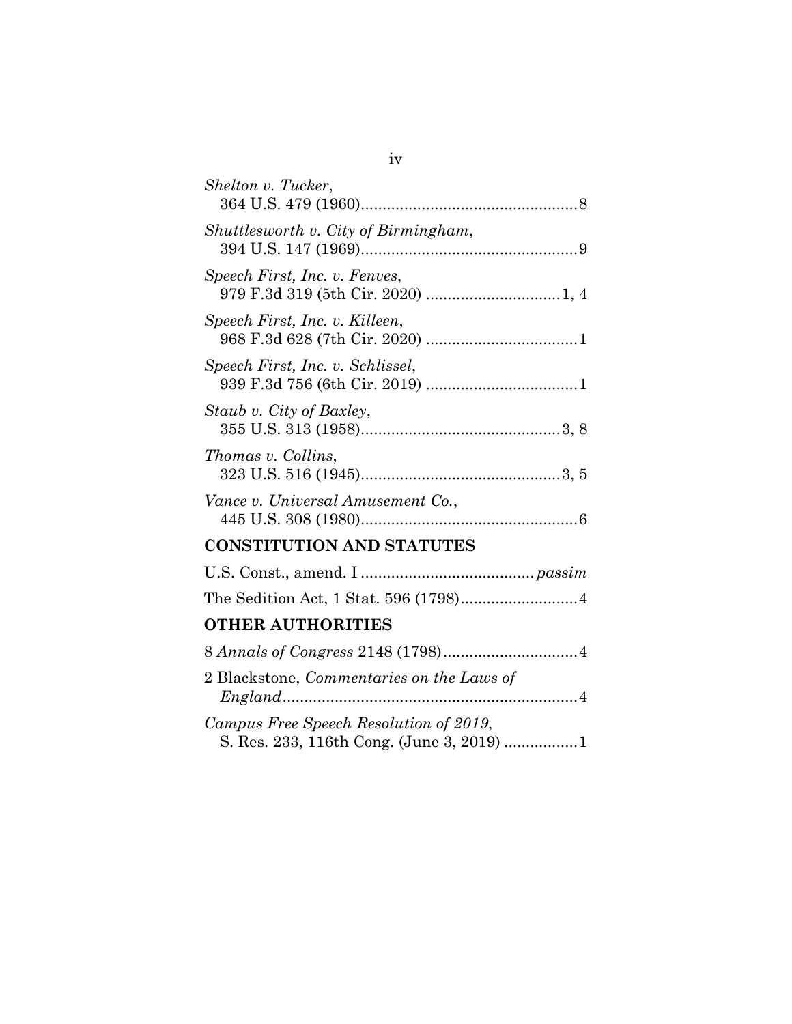| Shelton v. Tucker,                                                                  |
|-------------------------------------------------------------------------------------|
| Shuttlesworth v. City of Birmingham,                                                |
| Speech First, Inc. v. Fenves,                                                       |
| Speech First, Inc. v. Killeen,                                                      |
| Speech First, Inc. v. Schlissel,                                                    |
| Staub v. City of Baxley,                                                            |
| Thomas v. Collins,                                                                  |
| Vance v. Universal Amusement Co.,                                                   |
| <b>CONSTITUTION AND STATUTES</b>                                                    |
|                                                                                     |
|                                                                                     |
| <b>OTHER AUTHORITIES</b>                                                            |
|                                                                                     |
| 2 Blackstone, Commentaries on the Laws of                                           |
| Campus Free Speech Resolution of 2019,<br>S. Res. 233, 116th Cong. (June 3, 2019) 1 |

iv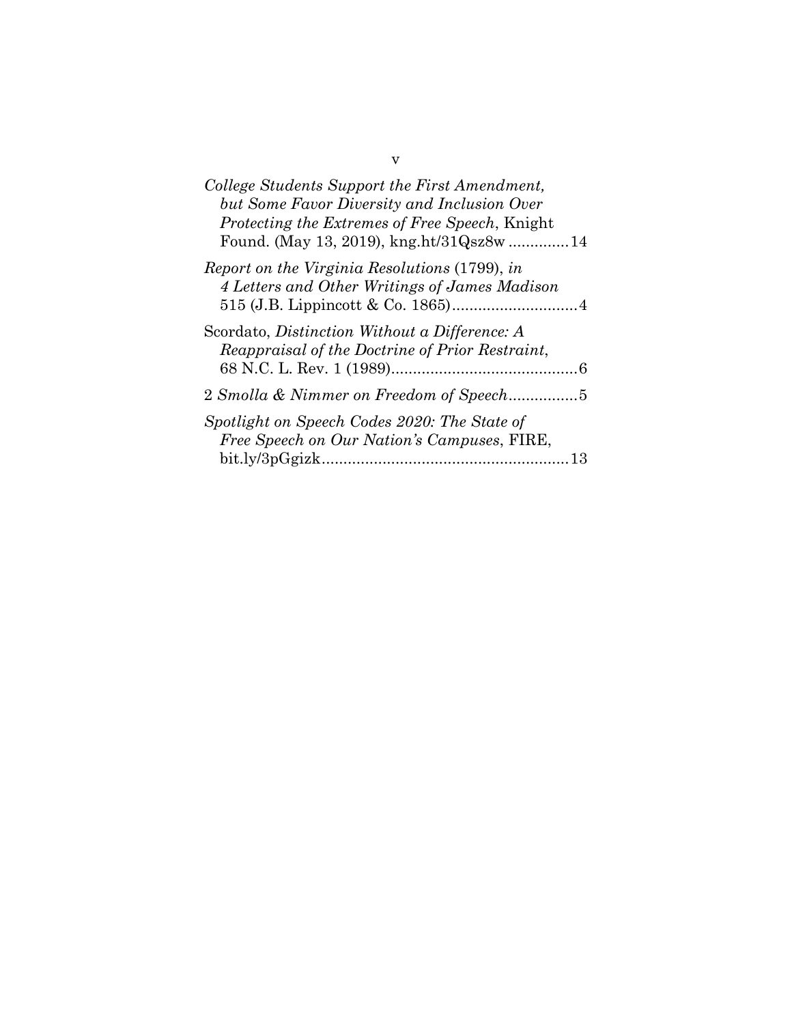| College Students Support the First Amendment,<br>but Some Favor Diversity and Inclusion Over       |
|----------------------------------------------------------------------------------------------------|
| Protecting the Extremes of Free Speech, Knight<br>Found. (May 13, 2019), kng.ht/31Qsz8w 14         |
| Report on the Virginia Resolutions (1799), in<br>4 Letters and Other Writings of James Madison     |
| Scordato, Distinction Without a Difference: A<br>Reappraisal of the Doctrine of Prior Restraint,   |
| 2 Smolla & Nimmer on Freedom of Speech5                                                            |
| Spotlight on Speech Codes 2020: The State of<br>Free Speech on Our Nation's Campuses, FIRE,<br>-13 |

v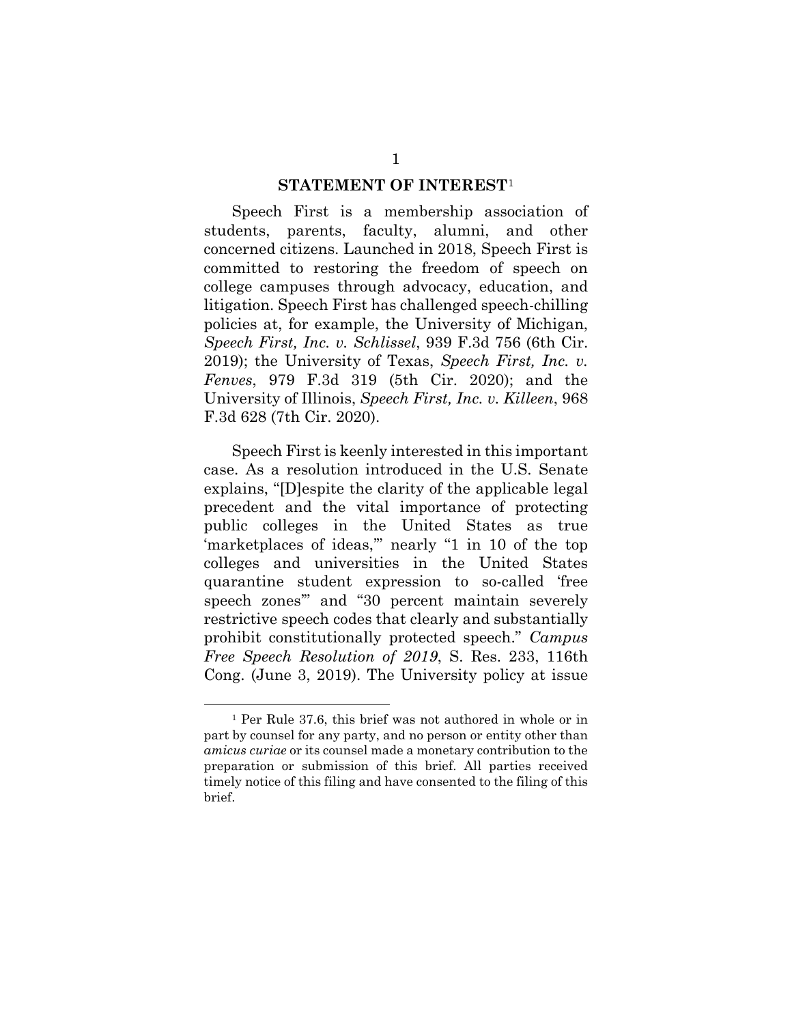#### **STATEMENT OF INTEREST**[1](#page-6-1)

<span id="page-6-0"></span>Speech First is a membership association of students, parents, faculty, alumni, and other concerned citizens. Launched in 2018, Speech First is committed to restoring the freedom of speech on college campuses through advocacy, education, and litigation. Speech First has challenged speech-chilling policies at, for example, the University of Michigan, *Speech First, Inc. v. Schlissel*, 939 F.3d 756 (6th Cir. 2019); the University of Texas, *Speech First, Inc. v. Fenves*, 979 F.3d 319 (5th Cir. 2020); and the University of Illinois, *Speech First, Inc. v. Killeen*, 968 F.3d 628 (7th Cir. 2020).

Speech First is keenly interested in this important case. As a resolution introduced in the U.S. Senate explains, "[D]espite the clarity of the applicable legal precedent and the vital importance of protecting public colleges in the United States as true 'marketplaces of ideas,'" nearly "1 in 10 of the top colleges and universities in the United States quarantine student expression to so-called 'free speech zones'" and "30 percent maintain severely restrictive speech codes that clearly and substantially prohibit constitutionally protected speech." *Campus Free Speech Resolution of 2019*, S. Res. 233, 116th Cong. (June 3, 2019). The University policy at issue

<span id="page-6-1"></span><sup>1</sup> Per Rule 37.6, this brief was not authored in whole or in part by counsel for any party, and no person or entity other than *amicus curiae* or its counsel made a monetary contribution to the preparation or submission of this brief. All parties received timely notice of this filing and have consented to the filing of this brief.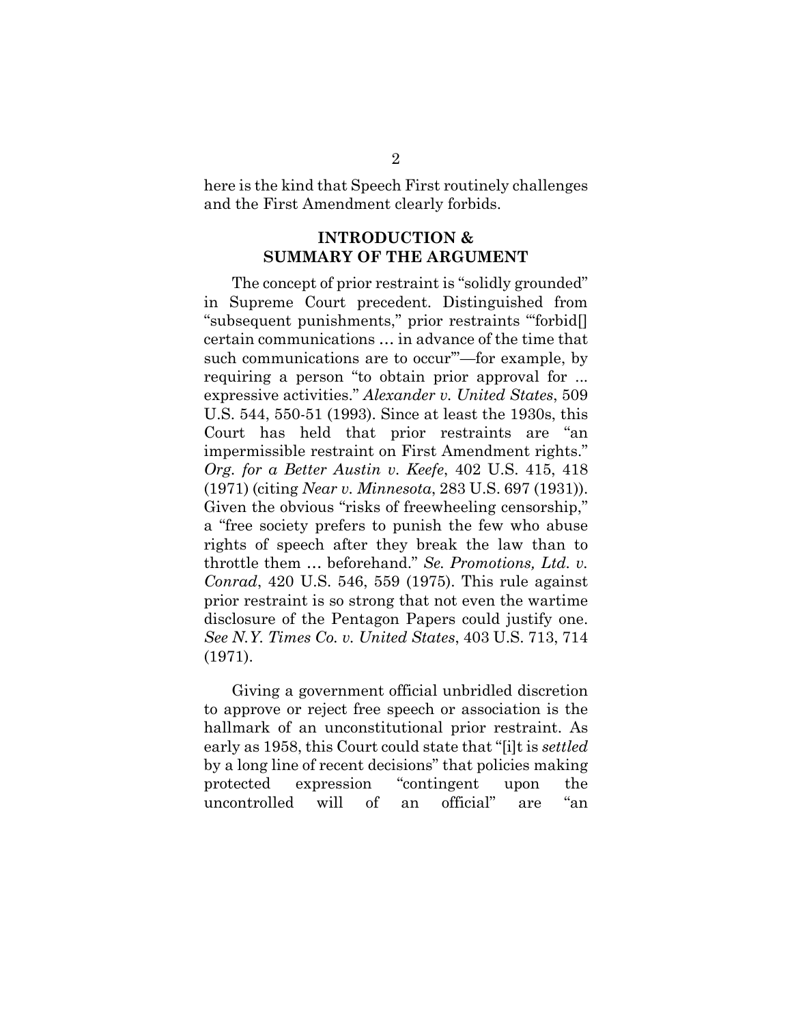<span id="page-7-0"></span>here is the kind that Speech First routinely challenges and the First Amendment clearly forbids.

## **INTRODUCTION & SUMMARY OF THE ARGUMENT**

The concept of prior restraint is "solidly grounded" in Supreme Court precedent. Distinguished from "subsequent punishments," prior restraints "'forbid[] certain communications … in advance of the time that such communications are to occur'"—for example, by requiring a person "to obtain prior approval for ... expressive activities." *Alexander v. United States*, 509 U.S. 544, 550-51 (1993). Since at least the 1930s, this Court has held that prior restraints are "an impermissible restraint on First Amendment rights." *Org. for a Better Austin v. Keefe*, 402 U.S. 415, 418 (1971) (citing *Near v. Minnesota*, 283 U.S. 697 (1931)). Given the obvious "risks of freewheeling censorship," a "free society prefers to punish the few who abuse rights of speech after they break the law than to throttle them … beforehand." *Se. Promotions, Ltd. v. Conrad*, 420 U.S. 546, 559 (1975). This rule against prior restraint is so strong that not even the wartime disclosure of the Pentagon Papers could justify one. *See N.Y. Times Co. v. United States*, 403 U.S. 713, 714 (1971).

Giving a government official unbridled discretion to approve or reject free speech or association is the hallmark of an unconstitutional prior restraint. As early as 1958, this Court could state that "[i]t is *settled* by a long line of recent decisions" that policies making protected expression "contingent upon the uncontrolled will of an official" are "an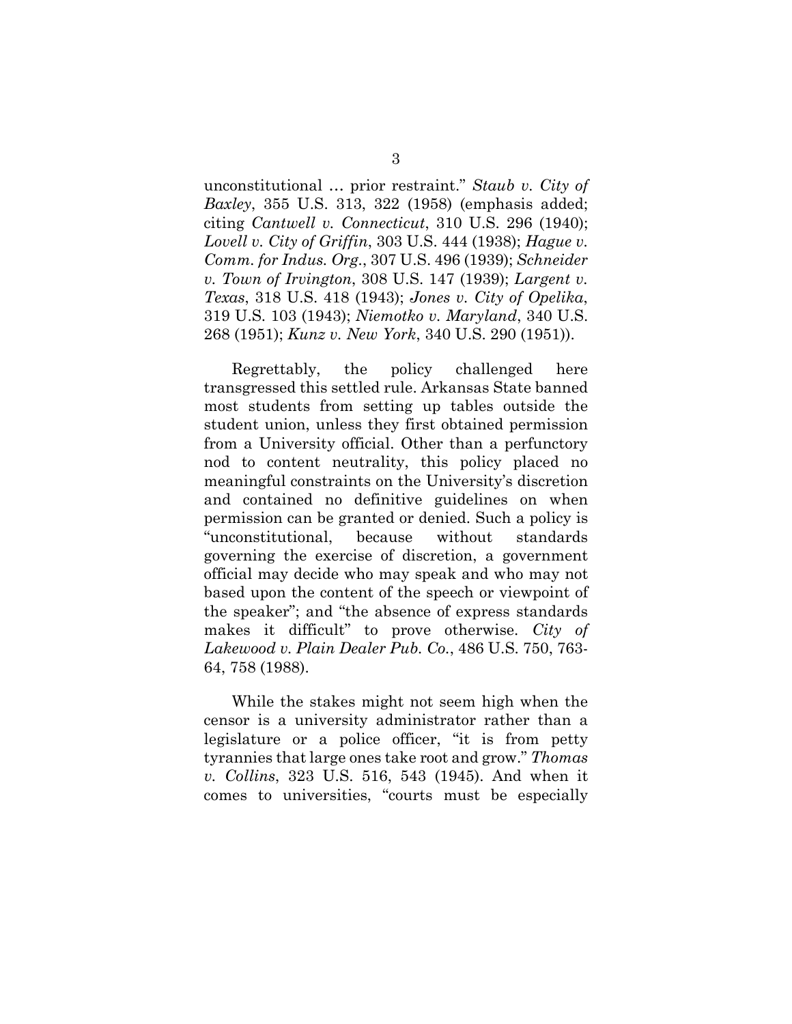unconstitutional … prior restraint." *Staub v. City of Baxley*, 355 U.S. 313, 322 (1958) (emphasis added; citing *Cantwell v. Connecticut*, 310 U.S. 296 (1940); *Lovell v. City of Griffin*, 303 U.S. 444 (1938); *Hague v. Comm. for Indus. Org.*, 307 U.S. 496 (1939); *Schneider v. Town of Irvington*, 308 U.S. 147 (1939); *Largent v. Texas*, 318 U.S. 418 (1943); *Jones v. City of Opelika*, 319 U.S. 103 (1943); *Niemotko v. Maryland*, 340 U.S. 268 (1951); *Kunz v. New York*, 340 U.S. 290 (1951)).

Regrettably, the policy challenged here transgressed this settled rule. Arkansas State banned most students from setting up tables outside the student union, unless they first obtained permission from a University official. Other than a perfunctory nod to content neutrality, this policy placed no meaningful constraints on the University's discretion and contained no definitive guidelines on when permission can be granted or denied. Such a policy is "unconstitutional, because without standards governing the exercise of discretion, a government official may decide who may speak and who may not based upon the content of the speech or viewpoint of the speaker"; and "the absence of express standards makes it difficult" to prove otherwise. *City of Lakewood v. Plain Dealer Pub. Co.*, 486 U.S. 750, 763- 64, 758 (1988).

While the stakes might not seem high when the censor is a university administrator rather than a legislature or a police officer, "it is from petty tyrannies that large ones take root and grow." *Thomas v. Collins*, 323 U.S. 516, 543 (1945). And when it comes to universities, "courts must be especially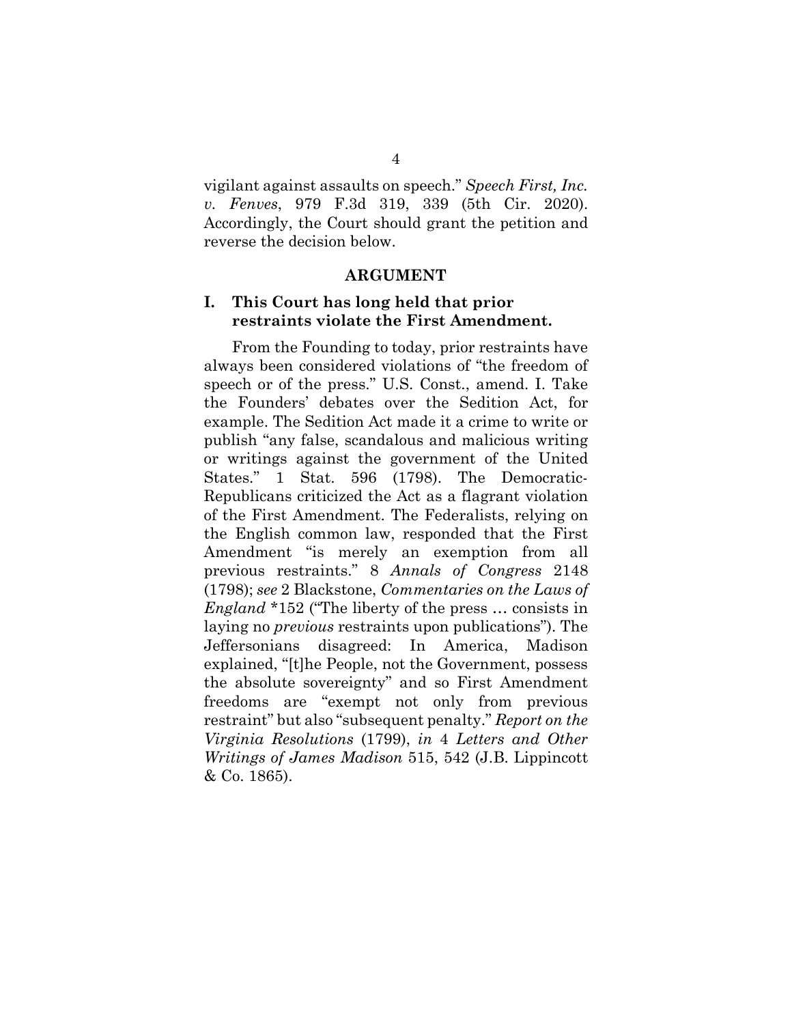vigilant against assaults on speech." *Speech First, Inc. v. Fenves*, 979 F.3d 319, 339 (5th Cir. 2020). Accordingly, the Court should grant the petition and reverse the decision below.

#### **ARGUMENT**

## <span id="page-9-1"></span><span id="page-9-0"></span>**I. This Court has long held that prior restraints violate the First Amendment.**

From the Founding to today, prior restraints have always been considered violations of "the freedom of speech or of the press." U.S. Const., amend. I. Take the Founders' debates over the Sedition Act, for example. The Sedition Act made it a crime to write or publish "any false, scandalous and malicious writing or writings against the government of the United States." 1 Stat. 596 (1798). The Democratic-Republicans criticized the Act as a flagrant violation of the First Amendment. The Federalists, relying on the English common law, responded that the First Amendment "is merely an exemption from all previous restraints." 8 *Annals of Congress* 2148 (1798); *see* 2 Blackstone, *Commentaries on the Laws of England* \*152 ("The liberty of the press … consists in laying no *previous* restraints upon publications"). The Jeffersonians disagreed: In America, Madison explained, "[t]he People, not the Government, possess the absolute sovereignty" and so First Amendment freedoms are "exempt not only from previous restraint" but also "subsequent penalty." *Report on the Virginia Resolutions* (1799), *in* 4 *Letters and Other Writings of James Madison* 515, 542 (J.B. Lippincott & Co. 1865).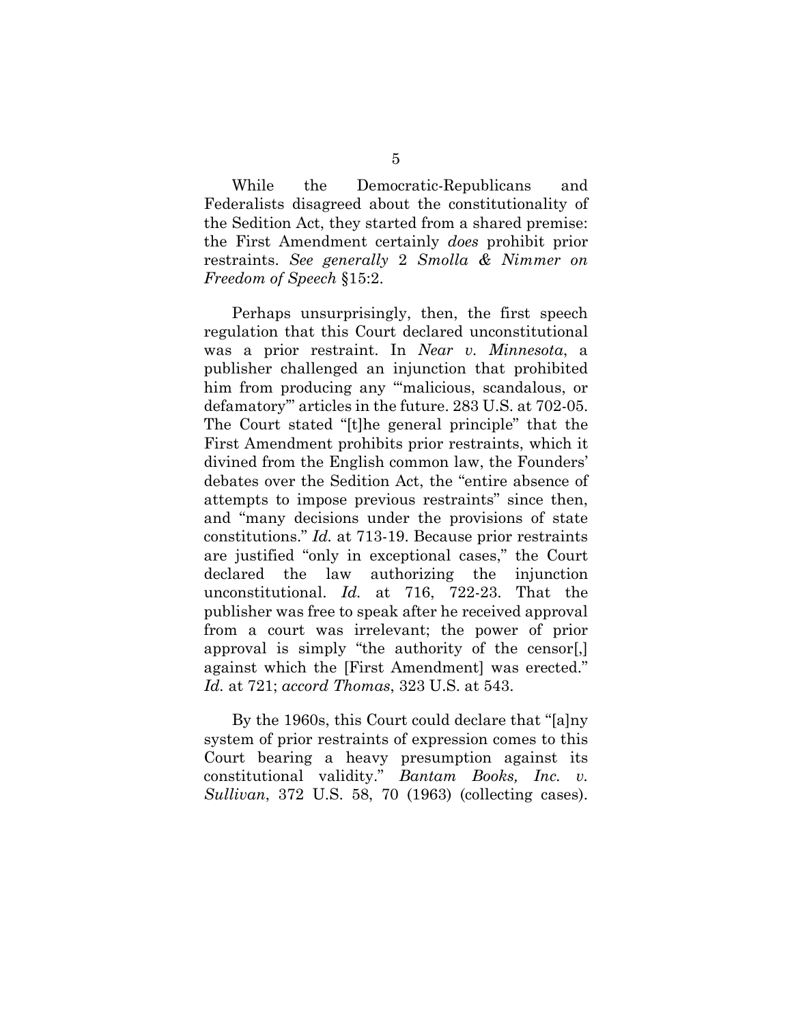While the Democratic-Republicans and Federalists disagreed about the constitutionality of the Sedition Act, they started from a shared premise: the First Amendment certainly *does* prohibit prior restraints. *See generally* 2 *Smolla & Nimmer on Freedom of Speech* §15:2.

Perhaps unsurprisingly, then, the first speech regulation that this Court declared unconstitutional was a prior restraint. In *Near v. Minnesota*, a publisher challenged an injunction that prohibited him from producing any "'malicious, scandalous, or defamatory'" articles in the future. 283 U.S. at 702-05. The Court stated "[t]he general principle" that the First Amendment prohibits prior restraints, which it divined from the English common law, the Founders' debates over the Sedition Act, the "entire absence of attempts to impose previous restraints" since then, and "many decisions under the provisions of state constitutions." *Id.* at 713-19. Because prior restraints are justified "only in exceptional cases," the Court declared the law authorizing the injunction unconstitutional. *Id.* at 716, 722-23. That the publisher was free to speak after he received approval from a court was irrelevant; the power of prior approval is simply "the authority of the censor[,] against which the [First Amendment] was erected." *Id.* at 721; *accord Thomas*, 323 U.S. at 543.

By the 1960s, this Court could declare that "[a]ny system of prior restraints of expression comes to this Court bearing a heavy presumption against its constitutional validity." *Bantam Books, Inc. v. Sullivan*, 372 U.S. 58, 70 (1963) (collecting cases).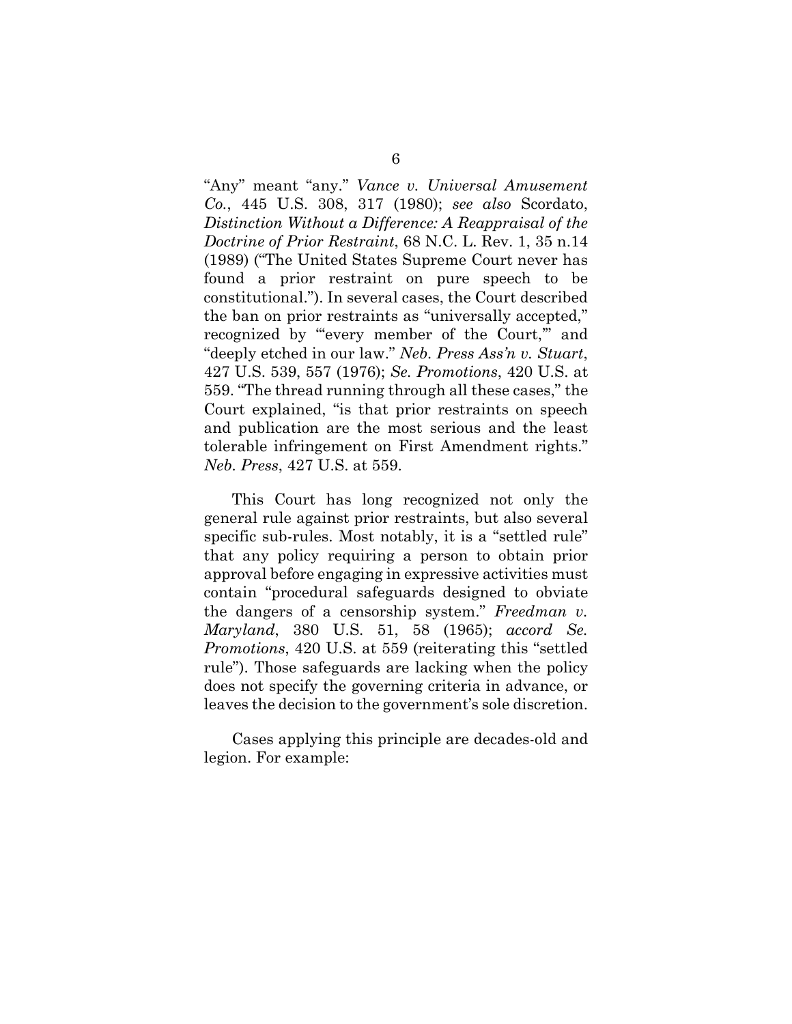"Any" meant "any." *Vance v. Universal Amusement Co.*, 445 U.S. 308, 317 (1980); *see also* Scordato, *Distinction Without a Difference: A Reappraisal of the Doctrine of Prior Restraint*, 68 N.C. L. Rev. 1, 35 n.14 (1989) ("The United States Supreme Court never has found a prior restraint on pure speech to be constitutional."). In several cases, the Court described the ban on prior restraints as "universally accepted," recognized by "every member of the Court," and "deeply etched in our law." *Neb. Press Ass'n v. Stuart*, 427 U.S. 539, 557 (1976); *Se. Promotions*, 420 U.S. at 559. "The thread running through all these cases," the Court explained, "is that prior restraints on speech and publication are the most serious and the least tolerable infringement on First Amendment rights." *Neb. Press*, 427 U.S. at 559.

This Court has long recognized not only the general rule against prior restraints, but also several specific sub-rules. Most notably, it is a "settled rule" that any policy requiring a person to obtain prior approval before engaging in expressive activities must contain "procedural safeguards designed to obviate the dangers of a censorship system." *Freedman v. Maryland*, 380 U.S. 51, 58 (1965); *accord Se. Promotions*, 420 U.S. at 559 (reiterating this "settled rule"). Those safeguards are lacking when the policy does not specify the governing criteria in advance, or leaves the decision to the government's sole discretion.

Cases applying this principle are decades-old and legion. For example: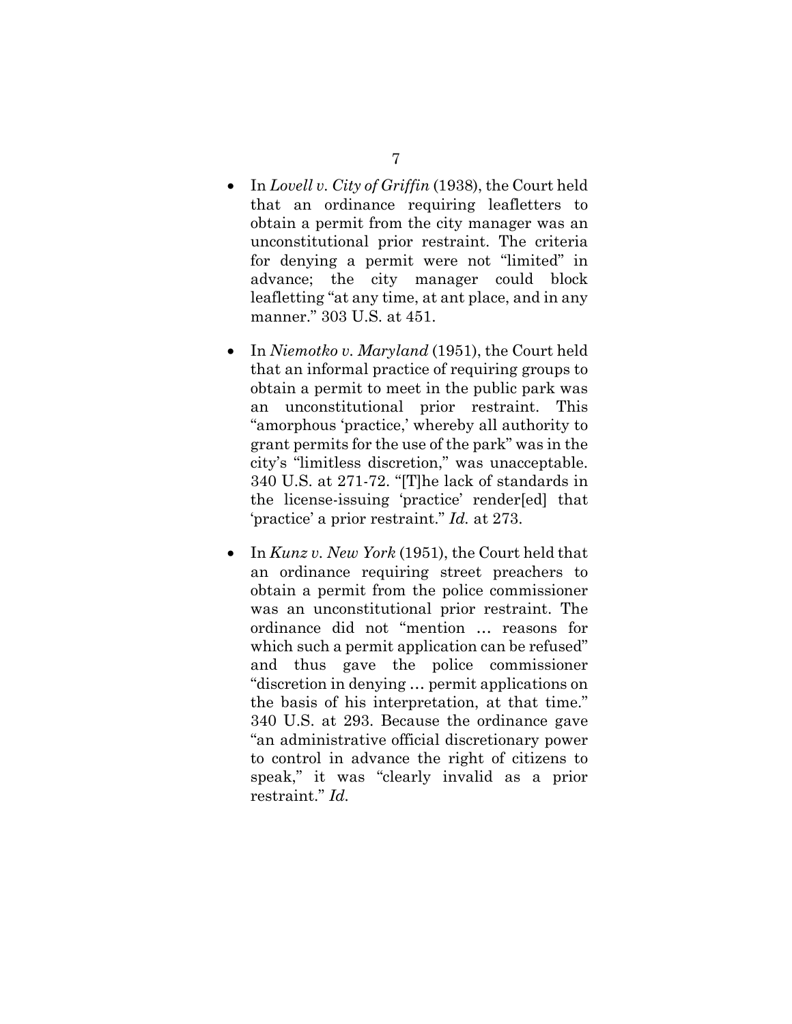- In *Lovell v. City of Griffin* (1938), the Court held that an ordinance requiring leafletters to obtain a permit from the city manager was an unconstitutional prior restraint. The criteria for denying a permit were not "limited" in advance; the city manager could block leafletting "at any time, at ant place, and in any manner." 303 U.S. at 451.
- In *Niemotko v. Maryland* (1951), the Court held that an informal practice of requiring groups to obtain a permit to meet in the public park was an unconstitutional prior restraint. This "amorphous 'practice,' whereby all authority to grant permits for the use of the park" was in the city's "limitless discretion," was unacceptable. 340 U.S. at 271-72. "[T]he lack of standards in the license-issuing 'practice' render[ed] that 'practice' a prior restraint." *Id.* at 273.
- In *Kunz v. New York* (1951), the Court held that an ordinance requiring street preachers to obtain a permit from the police commissioner was an unconstitutional prior restraint. The ordinance did not "mention … reasons for which such a permit application can be refused" and thus gave the police commissioner "discretion in denying … permit applications on the basis of his interpretation, at that time." 340 U.S. at 293. Because the ordinance gave "an administrative official discretionary power to control in advance the right of citizens to speak," it was "clearly invalid as a prior restraint." *Id.*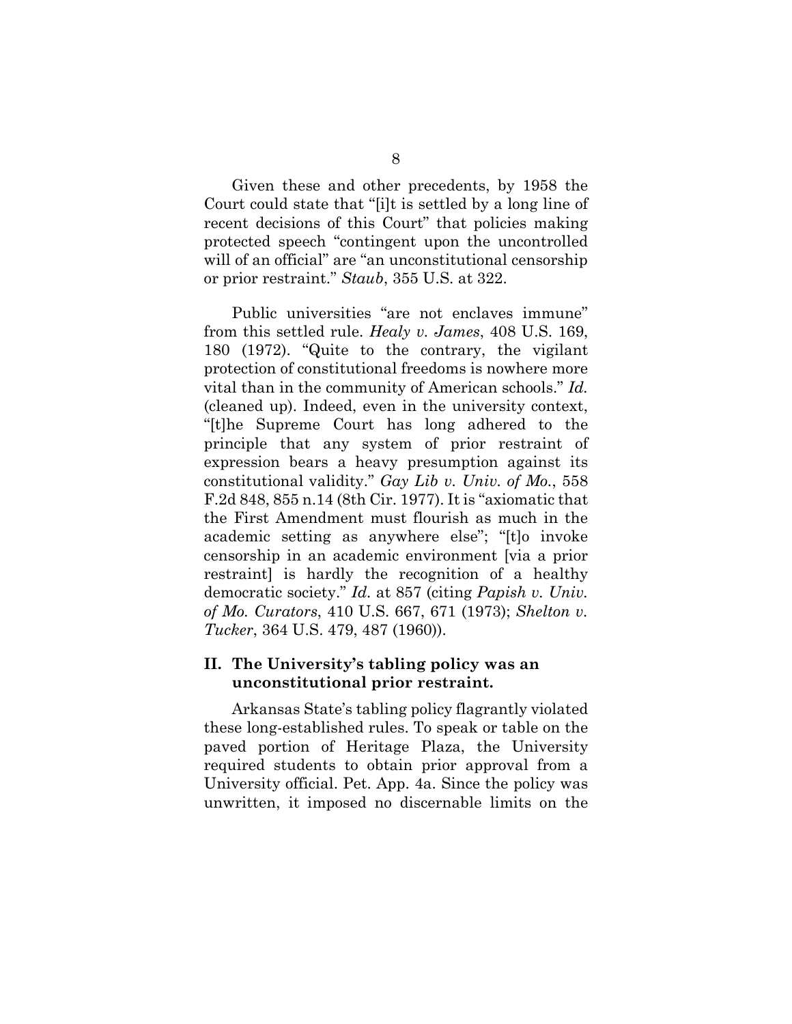Given these and other precedents, by 1958 the Court could state that "[i]t is settled by a long line of recent decisions of this Court" that policies making protected speech "contingent upon the uncontrolled will of an official" are "an unconstitutional censorship or prior restraint." *Staub*, 355 U.S. at 322.

Public universities "are not enclaves immune" from this settled rule. *Healy v. James*, 408 U.S. 169, 180 (1972). "Quite to the contrary, the vigilant protection of constitutional freedoms is nowhere more vital than in the community of American schools." *Id.* (cleaned up). Indeed, even in the university context, "[t]he Supreme Court has long adhered to the principle that any system of prior restraint of expression bears a heavy presumption against its constitutional validity." *Gay Lib v. Univ. of Mo.*, 558 F.2d 848, 855 n.14 (8th Cir. 1977). It is "axiomatic that the First Amendment must flourish as much in the academic setting as anywhere else"; "[t]o invoke censorship in an academic environment [via a prior restraint] is hardly the recognition of a healthy democratic society." *Id.* at 857 (citing *Papish v. Univ. of Mo. Curators*, 410 U.S. 667, 671 (1973); *Shelton v. Tucker*, 364 U.S. 479, 487 (1960)).

## <span id="page-13-0"></span>**II. The University's tabling policy was an unconstitutional prior restraint.**

Arkansas State's tabling policy flagrantly violated these long-established rules. To speak or table on the paved portion of Heritage Plaza, the University required students to obtain prior approval from a University official. Pet. App. 4a. Since the policy was unwritten, it imposed no discernable limits on the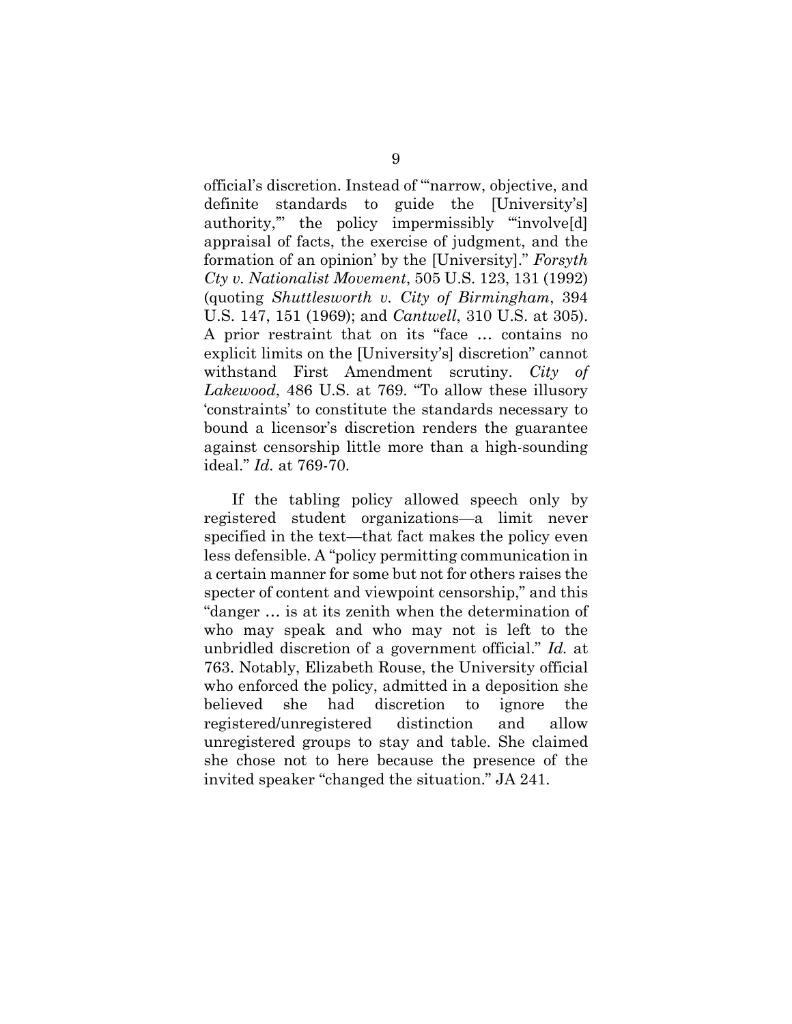official's discretion. Instead of "'narrow, objective, and definite standards to guide the [University's] authority,'" the policy impermissibly "'involve[d] appraisal of facts, the exercise of judgment, and the formation of an opinion' by the [University]." *Forsyth Cty v. Nationalist Movement*, 505 U.S. 123, 131 (1992) (quoting *Shuttlesworth v. City of Birmingham*, 394 U.S. 147, 151 (1969); and *Cantwell*, 310 U.S. at 305). A prior restraint that on its "face … contains no explicit limits on the [University's] discretion" cannot withstand First Amendment scrutiny. *City of Lakewood*, 486 U.S. at 769. "To allow these illusory 'constraints' to constitute the standards necessary to bound a licensor's discretion renders the guarantee against censorship little more than a high-sounding ideal." *Id.* at 769-70.

If the tabling policy allowed speech only by registered student organizations—a limit never specified in the text—that fact makes the policy even less defensible. A "policy permitting communication in a certain manner for some but not for others raises the specter of content and viewpoint censorship," and this "danger … is at its zenith when the determination of who may speak and who may not is left to the unbridled discretion of a government official." *Id.* at 763. Notably, Elizabeth Rouse, the University official who enforced the policy, admitted in a deposition she believed she had discretion to ignore the registered/unregistered distinction and allow unregistered groups to stay and table. She claimed she chose not to here because the presence of the invited speaker "changed the situation." JA 241.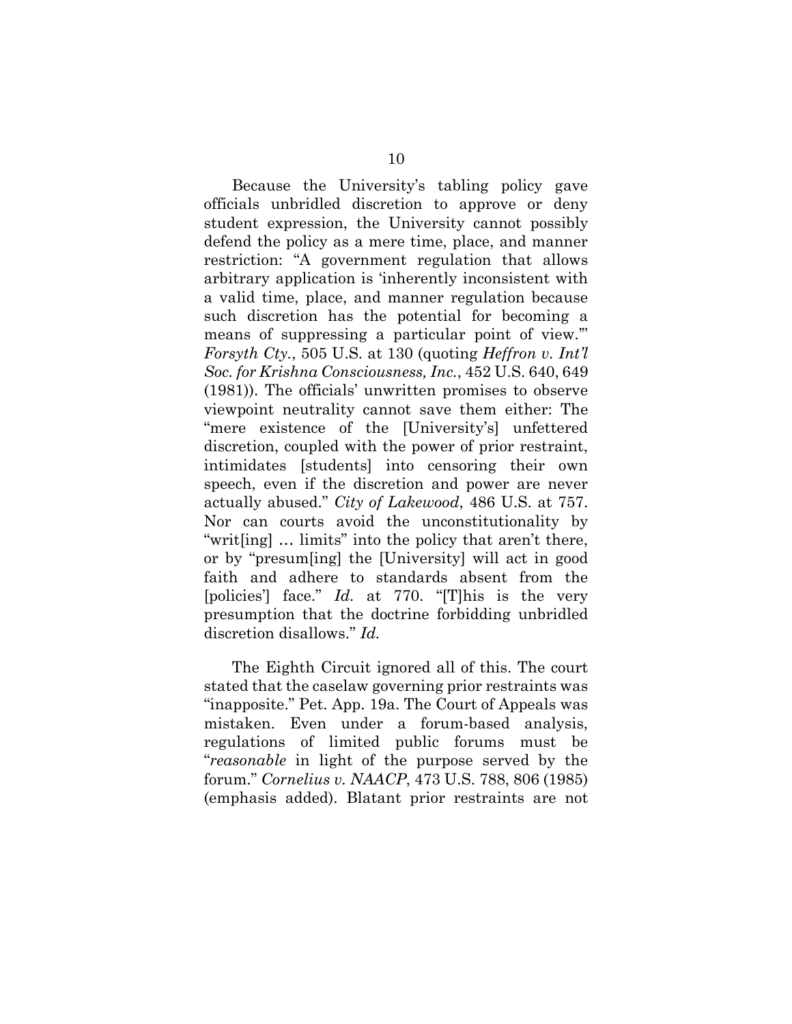Because the University's tabling policy gave officials unbridled discretion to approve or deny student expression, the University cannot possibly defend the policy as a mere time, place, and manner restriction: "A government regulation that allows arbitrary application is 'inherently inconsistent with a valid time, place, and manner regulation because such discretion has the potential for becoming a means of suppressing a particular point of view." *Forsyth Cty.*, 505 U.S. at 130 (quoting *Heffron v. Int'l Soc. for Krishna Consciousness, Inc.*, 452 U.S. 640, 649 (1981)). The officials' unwritten promises to observe viewpoint neutrality cannot save them either: The "mere existence of the [University's] unfettered discretion, coupled with the power of prior restraint, intimidates [students] into censoring their own speech, even if the discretion and power are never actually abused." *City of Lakewood*, 486 U.S. at 757. Nor can courts avoid the unconstitutionality by "writ[ing] … limits" into the policy that aren't there, or by "presum[ing] the [University] will act in good faith and adhere to standards absent from the [policies'] face." *Id.* at 770. "[T]his is the very presumption that the doctrine forbidding unbridled discretion disallows." *Id.*

The Eighth Circuit ignored all of this. The court stated that the caselaw governing prior restraints was "inapposite." Pet. App. 19a. The Court of Appeals was mistaken. Even under a forum-based analysis, regulations of limited public forums must be "*reasonable* in light of the purpose served by the forum." *Cornelius v. NAACP*, 473 U.S. 788, 806 (1985) (emphasis added). Blatant prior restraints are not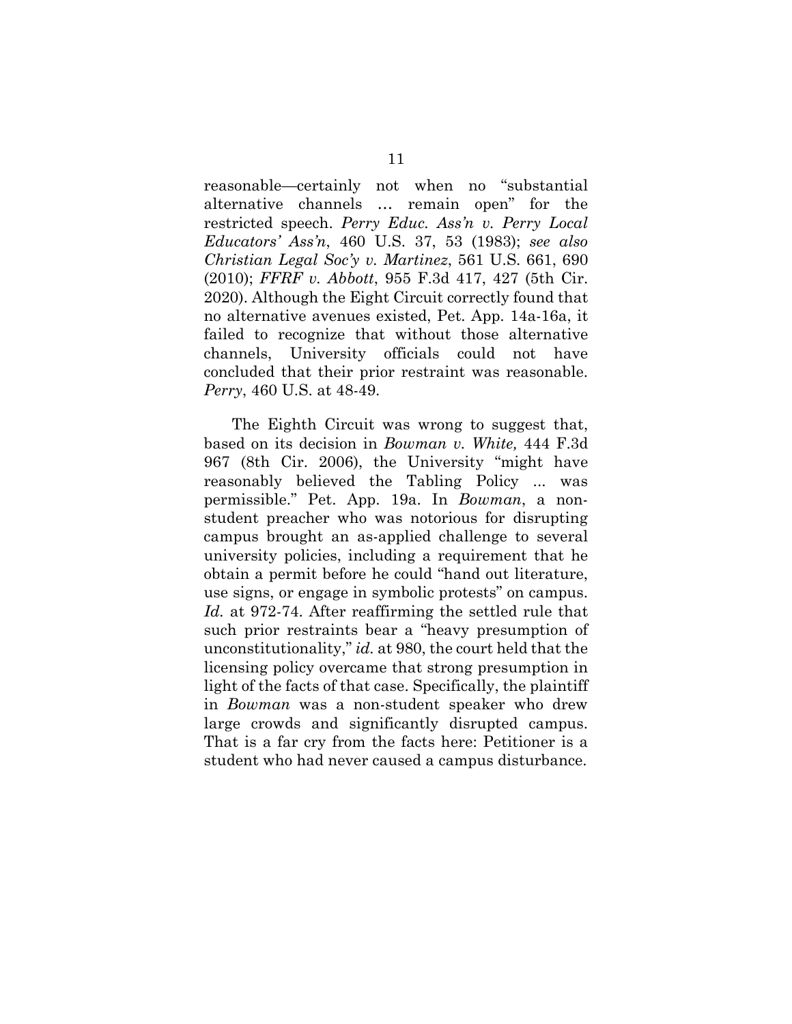reasonable—certainly not when no "substantial alternative channels … remain open" for the restricted speech. *Perry Educ. Ass'n v. Perry Local Educators' Ass'n*, 460 U.S. 37, 53 (1983); *see also Christian Legal Soc'y v. Martinez*, 561 U.S. 661, 690 (2010); *FFRF v. Abbott*, 955 F.3d 417, 427 (5th Cir. 2020). Although the Eight Circuit correctly found that no alternative avenues existed, Pet. App. 14a-16a, it failed to recognize that without those alternative channels, University officials could not have concluded that their prior restraint was reasonable. *Perry*, 460 U.S. at 48-49.

The Eighth Circuit was wrong to suggest that, based on its decision in *Bowman v. White,* 444 F.3d 967 (8th Cir. 2006), the University "might have reasonably believed the Tabling Policy ... was permissible." Pet. App. 19a. In *Bowman*, a nonstudent preacher who was notorious for disrupting campus brought an as-applied challenge to several university policies, including a requirement that he obtain a permit before he could "hand out literature, use signs, or engage in symbolic protests" on campus. *Id.* at 972-74. After reaffirming the settled rule that such prior restraints bear a "heavy presumption of unconstitutionality," *id.* at 980, the court held that the licensing policy overcame that strong presumption in light of the facts of that case. Specifically, the plaintiff in *Bowman* was a non-student speaker who drew large crowds and significantly disrupted campus. That is a far cry from the facts here: Petitioner is a student who had never caused a campus disturbance.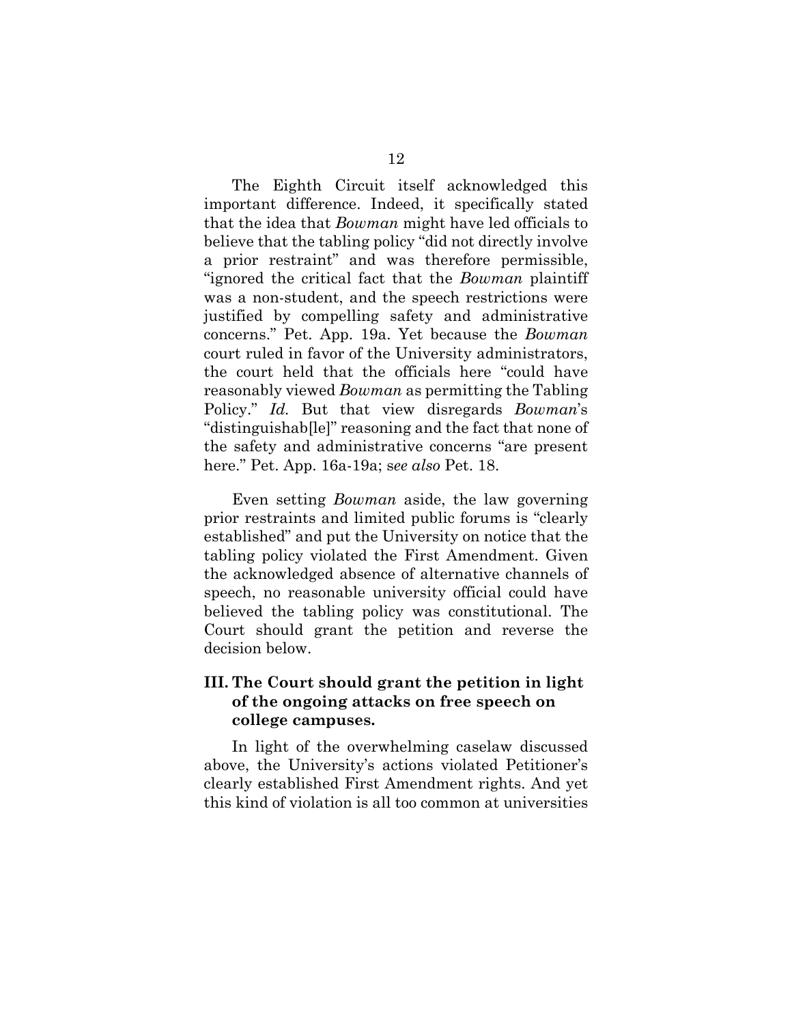The Eighth Circuit itself acknowledged this important difference. Indeed, it specifically stated that the idea that *Bowman* might have led officials to believe that the tabling policy "did not directly involve a prior restraint" and was therefore permissible, "ignored the critical fact that the *Bowman* plaintiff was a non-student, and the speech restrictions were justified by compelling safety and administrative concerns." Pet. App. 19a. Yet because the *Bowman* court ruled in favor of the University administrators, the court held that the officials here "could have reasonably viewed *Bowman* as permitting the Tabling Policy." *Id.* But that view disregards *Bowman*'s "distinguishab[le]" reasoning and the fact that none of the safety and administrative concerns "are present here." Pet. App. 16a-19a; s*ee also* Pet. 18.

Even setting *Bowman* aside, the law governing prior restraints and limited public forums is "clearly established" and put the University on notice that the tabling policy violated the First Amendment. Given the acknowledged absence of alternative channels of speech, no reasonable university official could have believed the tabling policy was constitutional. The Court should grant the petition and reverse the decision below.

## <span id="page-17-0"></span>**III. The Court should grant the petition in light of the ongoing attacks on free speech on college campuses.**

In light of the overwhelming caselaw discussed above, the University's actions violated Petitioner's clearly established First Amendment rights. And yet this kind of violation is all too common at universities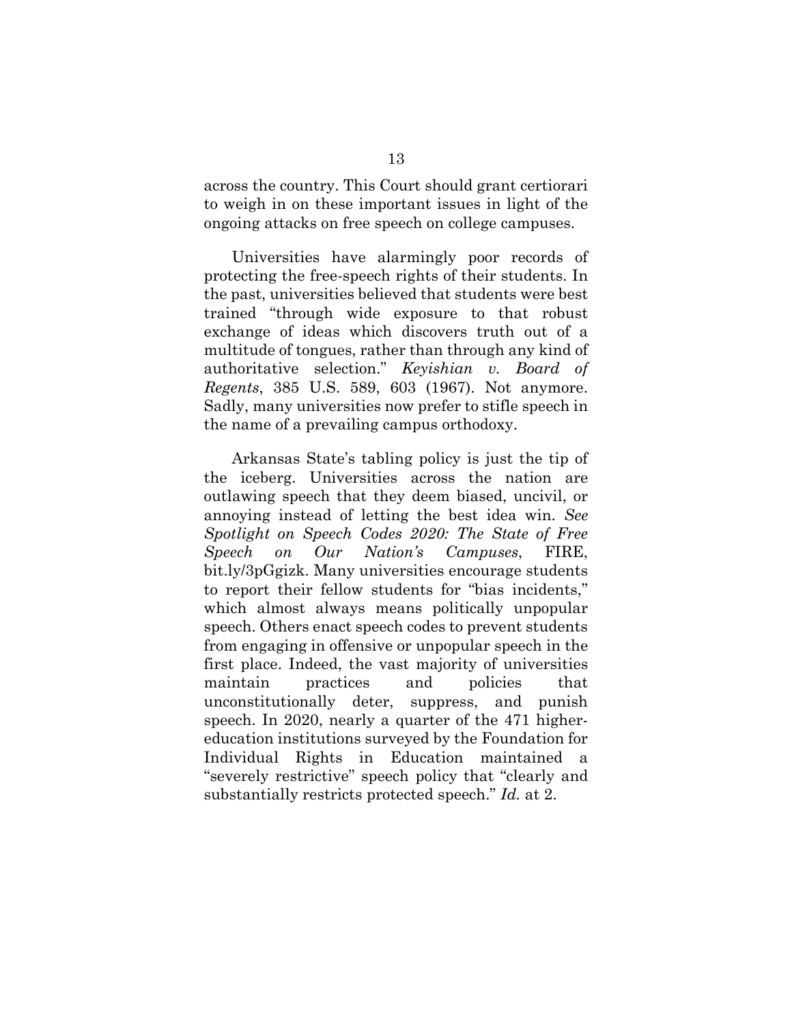across the country. This Court should grant certiorari to weigh in on these important issues in light of the ongoing attacks on free speech on college campuses.

Universities have alarmingly poor records of protecting the free-speech rights of their students. In the past, universities believed that students were best trained "through wide exposure to that robust exchange of ideas which discovers truth out of a multitude of tongues, rather than through any kind of authoritative selection." *Keyishian v. Board of Regents*, 385 U.S. 589, 603 (1967). Not anymore. Sadly, many universities now prefer to stifle speech in the name of a prevailing campus orthodoxy.

Arkansas State's tabling policy is just the tip of the iceberg. Universities across the nation are outlawing speech that they deem biased, uncivil, or annoying instead of letting the best idea win. *See Spotlight on Speech Codes 2020: The State of Free Speech on Our Nation's Campuses*, FIRE, bit.ly/3pGgizk. Many universities encourage students to report their fellow students for "bias incidents," which almost always means politically unpopular speech. Others enact speech codes to prevent students from engaging in offensive or unpopular speech in the first place. Indeed, the vast majority of universities maintain practices and policies that unconstitutionally deter, suppress, and punish speech. In 2020, nearly a quarter of the 471 highereducation institutions surveyed by the Foundation for Individual Rights in Education maintained a "severely restrictive" speech policy that "clearly and substantially restricts protected speech." *Id.* at 2.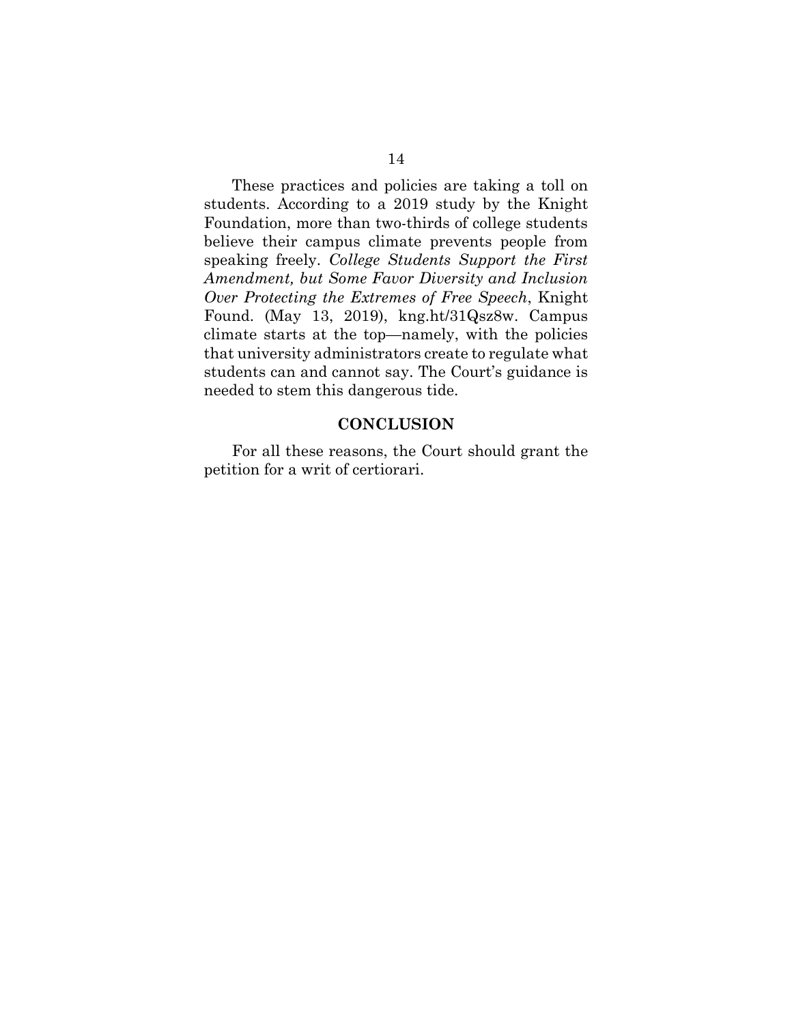These practices and policies are taking a toll on students. According to a 2019 study by the Knight Foundation, more than two-thirds of college students believe their campus climate prevents people from speaking freely. *College Students Support the First Amendment, but Some Favor Diversity and Inclusion Over Protecting the Extremes of Free Speech*, Knight Found. (May 13, 2019), kng.ht/31Qsz8w. Campus climate starts at the top—namely, with the policies that university administrators create to regulate what students can and cannot say. The Court's guidance is needed to stem this dangerous tide.

#### **CONCLUSION**

<span id="page-19-0"></span>For all these reasons, the Court should grant the petition for a writ of certiorari.